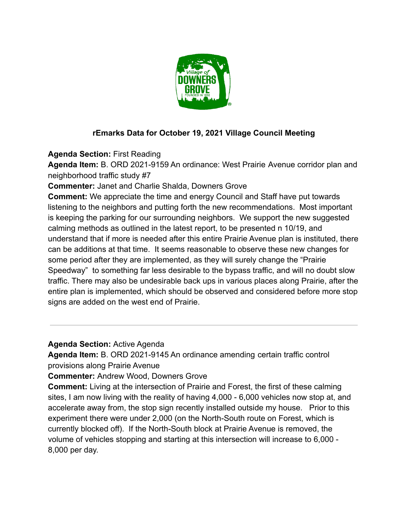

## **rEmarks Data for October 19, 2021 Village Council Meeting**

**Agenda Section:** First Reading

**Agenda Item:** B. ORD 2021-9159 An ordinance: West Prairie Avenue corridor plan and neighborhood traffic study #7

**Commenter:** Janet and Charlie Shalda, Downers Grove

**Comment:** We appreciate the time and energy Council and Staff have put towards listening to the neighbors and putting forth the new recommendations. Most important is keeping the parking for our surrounding neighbors. We support the new suggested calming methods as outlined in the latest report, to be presented n 10/19, and understand that if more is needed after this entire Prairie Avenue plan is instituted, there can be additions at that time. It seems reasonable to observe these new changes for some period after they are implemented, as they will surely change the "Prairie Speedway" to something far less desirable to the bypass traffic, and will no doubt slow traffic. There may also be undesirable back ups in various places along Prairie, after the entire plan is implemented, which should be observed and considered before more stop signs are added on the west end of Prairie.

**Agenda Section:** Active Agenda

**Agenda Item:** B. ORD 2021-9145 An ordinance amending certain traffic control provisions along Prairie Avenue

**Commenter:** Andrew Wood, Downers Grove

**Comment:** Living at the intersection of Prairie and Forest, the first of these calming sites, I am now living with the reality of having 4,000 - 6,000 vehicles now stop at, and accelerate away from, the stop sign recently installed outside my house. Prior to this experiment there were under 2,000 (on the North-South route on Forest, which is currently blocked off). If the North-South block at Prairie Avenue is removed, the volume of vehicles stopping and starting at this intersection will increase to 6,000 - 8,000 per day.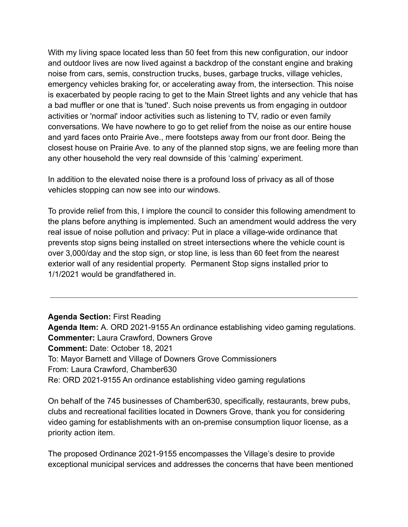With my living space located less than 50 feet from this new configuration, our indoor and outdoor lives are now lived against a backdrop of the constant engine and braking noise from cars, semis, construction trucks, buses, garbage trucks, village vehicles, emergency vehicles braking for, or accelerating away from, the intersection. This noise is exacerbated by people racing to get to the Main Street lights and any vehicle that has a bad muffler or one that is 'tuned'. Such noise prevents us from engaging in outdoor activities or 'normal' indoor activities such as listening to TV, radio or even family conversations. We have nowhere to go to get relief from the noise as our entire house and yard faces onto Prairie Ave., mere footsteps away from our front door. Being the closest house on Prairie Ave. to any of the planned stop signs, we are feeling more than any other household the very real downside of this 'calming' experiment.

In addition to the elevated noise there is a profound loss of privacy as all of those vehicles stopping can now see into our windows.

To provide relief from this, I implore the council to consider this following amendment to the plans before anything is implemented. Such an amendment would address the very real issue of noise pollution and privacy: Put in place a village-wide ordinance that prevents stop signs being installed on street intersections where the vehicle count is over 3,000/day and the stop sign, or stop line, is less than 60 feet from the nearest exterior wall of any residential property. Permanent Stop signs installed prior to 1/1/2021 would be grandfathered in.

**Agenda Section:** First Reading **Agenda Item:** A. ORD 2021-9155 An ordinance establishing video gaming regulations. **Commenter:** Laura Crawford, Downers Grove **Comment:** Date: October 18, 2021 To: Mayor Barnett and Village of Downers Grove Commissioners From: Laura Crawford, Chamber630 Re: ORD 2021-9155 An ordinance establishing video gaming regulations

On behalf of the 745 businesses of Chamber630, specifically, restaurants, brew pubs, clubs and recreational facilities located in Downers Grove, thank you for considering video gaming for establishments with an on-premise consumption liquor license, as a priority action item.

The proposed Ordinance 2021-9155 encompasses the Village's desire to provide exceptional municipal services and addresses the concerns that have been mentioned